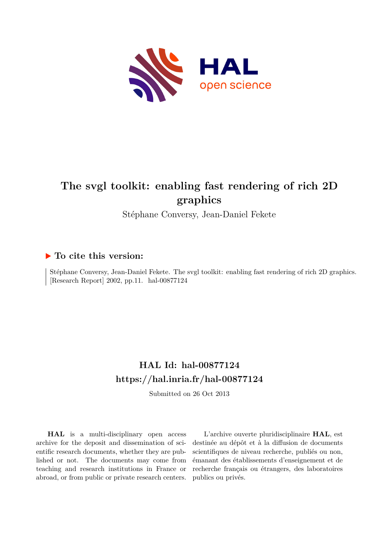

# **The svgl toolkit: enabling fast rendering of rich 2D graphics**

Stéphane Conversy, Jean-Daniel Fekete

# **To cite this version:**

Stéphane Conversy, Jean-Daniel Fekete. The svgl toolkit: enabling fast rendering of rich 2D graphics. [Research Report]  $2002$ , pp.11. hal-00877124

# **HAL Id: hal-00877124 <https://hal.inria.fr/hal-00877124>**

Submitted on 26 Oct 2013

**HAL** is a multi-disciplinary open access archive for the deposit and dissemination of scientific research documents, whether they are published or not. The documents may come from teaching and research institutions in France or abroad, or from public or private research centers.

L'archive ouverte pluridisciplinaire **HAL**, est destinée au dépôt et à la diffusion de documents scientifiques de niveau recherche, publiés ou non, émanant des établissements d'enseignement et de recherche français ou étrangers, des laboratoires publics ou privés.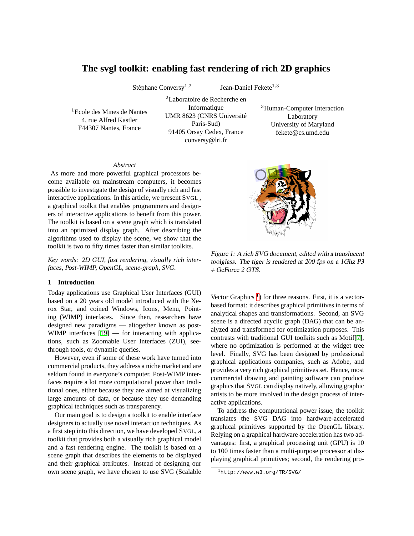# **The svgl toolkit: enabling fast rendering of rich 2D graphics**

Stéphane Conversy<sup>1,2</sup>

Jean-Daniel Fekete<sup>1,3</sup>

<sup>1</sup>Ecole des Mines de Nantes 4, rue Alfred Kastler F44307 Nantes, France

<sup>2</sup>Laboratoire de Recherche en Informatique UMR 8623 (CNRS Universite´ Paris-Sud) 91405 Orsay Cedex, France conversy@lri.fr

<sup>3</sup>Human-Computer Interaction Laboratory University of Maryland fekete@cs.umd.edu

#### *Abstract*

As more and more powerful graphical processors become available on mainstream computers, it becomes possible to investigate the design of visually rich and fast interactive applications. In this article, we present SVGL , a graphical toolkit that enables programmers and designers of interactive applications to benefit from this power. The toolkit is based on a scene graph which is translated into an optimized display graph. After describing the algorithms used to display the scene, we show that the toolkit is two to fifty times faster than similar toolkits.

*Key words: 2D GUI, fast rendering, visually rich interfaces, Post-WIMP, OpenGL, scene-graph, SVG.*

### **1 Introduction**

Today applications use Graphical User Interfaces (GUI) based on a 20 years old model introduced with the Xerox Star, and coined Windows, Icons, Menu, Pointing (WIMP) interfaces. Since then, researchers have designed new paradigms — altogether known as post-WIMP interfaces  $[19]$  $[19]$  — for interacting with applications, such as Zoomable User Interfaces (ZUI), seethrough tools, or dynamic queries.

However, even if some of these work have turned into commercial products, they address a niche market and are seldom found in everyone's computer. Post-WIMP interfaces require a lot more computational power than traditional ones, either because they are aimed at visualizing large amounts of data, or because they use demanding graphical techniques such as transparency.

Our main goal is to design a toolkit to enable interface designers to actually use novel interaction techniques. As a first step into this direction, we have developed SVGL, a toolkit that provides both a visually rich graphical model and a fast rendering engine. The toolkit is based on a scene graph that describes the elements to be displayed and their graphical attributes. Instead of designing our own scene graph, we have chosen to use SVG (Scalable



Figure 1: <sup>A</sup> rich SVG document, edited with <sup>a</sup> translucent toolglass. The tiger is rendered at <sup>200</sup> fps on <sup>a</sup> 1Ghz P3 <sup>+</sup> GeForce <sup>2</sup> GTS.

<span id="page-1-1"></span>Vector Graphics<sup>[1](#page-1-0)</sup>) for three reasons. First, it is a vectorbased format: it describes graphical primitives in terms of analytical shapes and transformations. Second, an SVG scene is a directed acyclic graph (DAG) that can be analyzed and transformed for optimization purposes. This contrasts with traditional GUI toolkits such as Motif[[7\]](#page-10-0), where no optimization is performed at the widget tree level. Finally, SVG has been designed by professional graphical applications companies, such as Adobe, and provides a very rich graphical primitives set. Hence, most commercial drawing and painting software can produce graphics that SVGL can display natively, allowing graphic artists to be more involved in the design process of interactive applications.

To address the computational power issue, the toolkit translates the SVG DAG into hardware-accelerated graphical primitives supported by the OpenGL library. Relying on a graphical hardware acceleration has two advantages: first, a graphical processing unit (GPU) is 10 to 100 times faster than a multi-purpose processor at displaying graphical primitives; second, the rendering pro-

<span id="page-1-0"></span><sup>1</sup>http://www.w3.org/TR/SVG/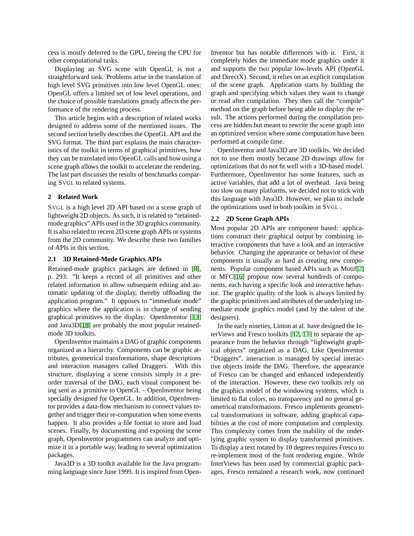cess is mostly deferred to the GPU, freeing the CPU for other computational tasks.

Displaying an SVG scene with OpenGL is not a straightforward task. Problems arise in the translation of high level SVG primitives into low level OpenGL ones: OpenGL offers a limited set of low level operations, and the choice of possible translations greatly affects the performance of the rendering process.

This article begins with a description of related works designed to address some of the mentioned issues. The second section briefly describes the OpenGL API and the SVG format. The third part explains the main characteristics of the toolkit in terms of graphical primitives, how they can be translated into OpenGL calls and how using a scene graph allows the toolkit to accelerate the rendering. The last part discusses the results of benchmarks comparing SVGL to related systems.

# **2 Related Work**

SVGL is a high level 2D API based on a scene graph of lightweight 2D objects. As such, it is related to "retainedmode graphics" APIs used in the 3D graphics community. It is also related to recent 2D scene graph APIs or systems from the 2D community. We describe these two families of APIs in this section.

#### **2.1 3D Retained-Mode Graphics APIs**

Retained-mode graphics packages are defined in [[8\]](#page-10-1), p. 293: "It keeps a record of all primitives and other related information to allow subsequent editing and automatic updating of the display, thereby offloading the application program." It opposes to "immediate mode" graphics where the application is in charge of sending graphical primitives to the display. OpenInventor [\[13](#page-11-1)] and Java3D[\[18](#page-11-2)] are probably the most popular retainedmode 3D toolkits.

OpenInventor maintains a DAG of graphic components organized as a hierarchy. Components can be graphic attributes, geometrical transformations, shape descriptions and interaction managers called Draggers. With this structure, displaying a scene consists simply in a preorder traversal of the DAG, each visual component being sent as a primitive to OpenGL – OpenInventor being specially designed for OpenGL. In addition, OpenInventor provides a data-flow mechanism to connect values together and trigger their re-computation when some events happen. It also provides a file format to store and load scenes. Finally, by documenting and exposing the scene graph, OpenInventor programmers can analyze and optimize it in a portable way, leading to several optimization packages.

Java3D is a 3D toolkit available for the Java programming language since June 1999. It is inspired from OpenInventor but has notable differences with it. First, it completely hides the immediate mode graphics under it and supports the two popular low-levels API (OpenGL and DirectX). Second, it relies on an explicit compilation of the scene graph. Application starts by building the graph and specifying which values they want to change or read after compilation. They then call the "compile" method on the graph before being able to display the result. The actions performed during the compilation process are hidden but meant to rewrite the scene graph into an optimized version where some computation have been performed at compile time.

OpenInventor and Java3D are 3D toolkits. We decided not to use them mostly because 2D drawings allow for optimizations that do not fit well with a 3D-based model. Furthermore, OpenInventor has some features, such as active variables, that add a lot of overhead. Java being too slow on many platforms, we decided not to stick with this language with Java3D. However, we plan to include the optimizations used in both toolkits in SVGL .

#### **2.2 2D Scene Graph APIs**

Most popular 2D APIs are component based: applications construct their graphical output by combining interactive components that have a look and an interactive behavior. Changing the appearance or behavior of these components is usually as hard as creating new components. Popular component based APIs such as Motif[\[7](#page-10-0)] or MFC[[16\]](#page-11-3) propose now several hundreds of components, each having a specific look and interactive behavior. The graphic quality of the look is always limited by the graphic primitives and attributes of the underlying immediate mode graphics model (and by the talent of the designers).

In the early nineties, Linton at al. have designed the InterViews and Fresco toolkits [[12,](#page-11-4) [11](#page-11-5)] to separate the appearance from the behavior through "lightweight graphical objects" organized as a DAG. Like OpenInventor "Draggers", interaction is managed by special interactive objects inside the DAG. Therefore, the appearance of Fresco can be changed and enhanced independently of the interaction. However, these two toolkits rely on the graphics model of the windowing systems, which is limited to flat colors, no transparency and no general geometrical transformations. Fresco implements geometrical transformations in software, adding graphical capabilities at the cost of more computation and complexity. This complexity comes from the inability of the underlying graphic system to display transformed primitives. To display a text rotated by 10 degrees requires Fresco to re-implement most of the font rendering engine. While InterViews has been used by commercial graphic packages, Fresco remained a research work, now continued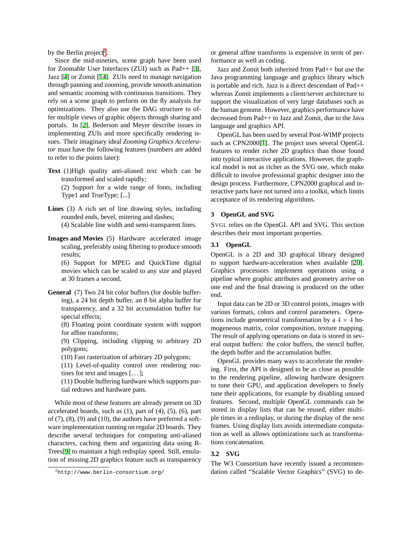by the Berlin project<sup>[2](#page-3-0)</sup>.

Since the mid-nineties, scene graph have been used for Zoomable User Interfaces (ZUI) such as Pad++ [[3\]](#page-10-2), Jazz [\[4](#page-10-3)] or Zomit [[14\]](#page-11-6). ZUIs need to manage navigation through panning and zooming, provide smooth animation and semantic zooming with continuous transitions. They rely on a scene graph to perform on the fly analysis for optimizations. They also use the DAG structure to offer multiple views of graphic objects through sharing and portals. In [\[2](#page-9-0)], Bederson and Meyer describe issues in implementing ZUIs and more specifically rendering issues. Their imaginary ideal *Zooming Graphics Accelerator* must have the following features (numbers are added to refer to the points later):

**Text** (1)High quality anti-aliased text which can be transformed and scaled rapidly;

(2) Support for a wide range of fonts, including Type1 and TrueType; [...]

- **Lines** (3) A rich set of line drawing styles, including rounded ends, bevel, mitering and dashes; (4) Scalable line width and semi-transparent lines.
	-
- **Images and Movies** (5) Hardware accelerated image scaling, preferably using filtering to produce smooth results;

(6) Support for MPEG and QuickTime digital movies which can be scaled to any size and played at 30 frames a second.

**General** (7) Two 24 bit color buffers (for double buffering), a 24 bit depth buffer, an 8 bit alpha buffer for transparency, and a 32 bit accumulation buffer for special effects;

(8) Floating point coordinate system with support for affine transforms;

(9) Clipping, including clipping to arbitrary 2D polygons;

(10) Fast rasterization of arbitrary 2D polygons;

(11) Level-of-quality control over rendering routines for text and images  $[\dots]$ ;

(11) Double buffering hardware which supports partial redraws and hardware pans.

While most of these features are already present on 3D accelerated boards, such as  $(1)$ , part of  $(4)$ ,  $(5)$ ,  $(6)$ , part of  $(7)$ ,  $(8)$ ,  $(9)$  and  $(10)$ , the authors have preferred a software implementation running on regular 2D boards. They describe several techniques for computing anti-aliased characters, caching them and organizing data using R-Trees[[9\]](#page-10-4) to maintain a high redisplay speed. Still, emulation of missing 2D graphics feature such as transparency or general affine transforms is expensive in term of performance as well as coding.

Jazz and Zomit both inherited from Pad++ but use the Java programming language and graphics library which is portable and rich. Jazz is a direct descendant of Pad++ whereas Zomit implements a client/server architecture to support the visualization of very large databases such as the human genome. However, graphics performance have decreased from Pad++ to Jazz and Zomit, due to the Java language and graphics API.

OpenGL has been used by several Post-WIMP projects such as CPN2000[\[1](#page-9-1)]. The project uses several OpenGL features to render richer 2D graphics than those found into typical interactive applications. However, the graphical model is not as richer as the SVG one, which make difficult to involve professional graphic designer into the design process. Furthermore, CPN2000 graphical and interactive parts have not turned into a toolkit, which limits acceptance of its rendering algorithms.

#### **3 OpenGL and SVG**

SVGL relies on the OpenGL API and SVG. This section describes their most important properties.

# **3.1 OpenGL**

OpenGL is a 2D and 3D graphical library designed to support hardware-acceleration when available [[20\]](#page-11-7). Graphics processors implement operations using a pipeline where graphic attributes and geometry arrive on one end and the final drawing is produced on the other end.

Input data can be 2D or 3D control points, images with various formats, colors and control parameters. Operations include geometrical transformation by a  $4 \times 4$  homogeneous matrix, color composition, texture mapping. The result of applying operations on data is stored in several output buffers: the color buffers, the stencil buffer, the depth buffer and the accumulation buffer.

OpenGL provides many ways to accelerate the rendering. First, the API is designed to be as close as possible to the rendering pipeline, allowing hardware designers to tune their GPU, and application developers to finely tune their applications, for example by disabling unused features. Second, multiple OpenGL commands can be stored in display lists that can be reused, either multiple times in a redisplay, or during the display of the next frames. Using display lists avoids intermediate computation as well as allows optimizations such as transformations concatenation.

# **3.2 SVG**

The W3 Consortium have recently issued a recommendation called "Scalable Vector Graphics" (SVG) to de-

<span id="page-3-0"></span><sup>2</sup>http://www.berlin-consortium.org/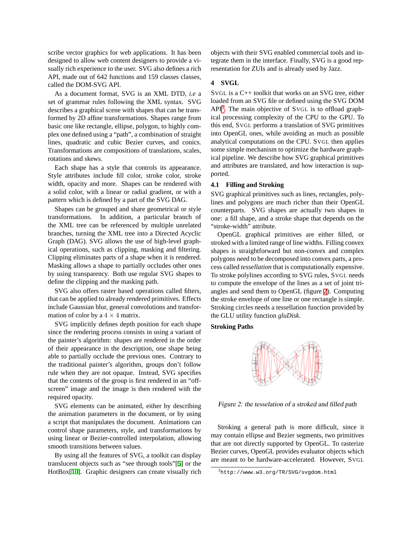scribe vector graphics for web applications. It has been designed to allow web content designers to provide a visually rich experience to the user. SVG also defines a rich API, made out of 642 functions and 159 classes classes, called the DOM-SVG API.

As a document format, SVG is an XML DTD, *i.e* a set of grammar rules following the XML syntax. SVG describes a graphical scene with shapes that can be transformed by 2D affine transformations. Shapes range from basic one like rectangle, ellipse, polygon, to highly complex one defined using a "path", a combination of straight lines, quadratic and cubic Bezier curves, and conics. Transformations are compositions of translations, scales, rotations and skews.

Each shape has a style that controls its appearance. Style attributes include fill color, stroke color, stroke width, opacity and more. Shapes can be rendered with a solid color, with a linear or radial gradient, or with a pattern which is defined by a part of the SVG DAG.

Shapes can be grouped and share geometrical or style transformations. In addition, a particular branch of the XML tree can be referenced by multiple unrelated branches, turning the XML tree into a Directed Acyclic Graph (DAG). SVG allows the use of high-level graphical operations, such as clipping, masking and filtering. Clipping eliminates parts of a shape when it is rendered. Masking allows a shape to partially occludes other ones by using transparency. Both use regular SVG shapes to define the clipping and the masking path.

SVG also offers raster based operations called filters, that can be applied to already rendered primitives. Effects include Gaussian blur, general convolutions and transformation of color by a  $4 \times 4$  matrix.

SVG implicitly defines depth position for each shape since the rendering process consists in using a variant of the painter's algorithm: shapes are rendered in the order of their appearance in the description, one shape being able to partially occlude the previous ones. Contrary to the traditional painter's algorithm, groups don't follow rule when they are not opaque. Instead, SVG specifies that the contents of the group is first rendered in an "offscreen" image and the image is then rendered with the required opacity.

SVG elements can be animated, either by describing the animation parameters in the document, or by using a script that manipulates the document. Animations can control shape parameters, style, and transformations by using linear or Bezier-controlled interpolation, allowing smooth transitions between values.

By using all the features of SVG, a toolkit can display translucent objects such as "see through tools"[[5\]](#page-10-5) or the HotBox[[10\]](#page-10-6). Graphic designers can create visually rich

objects with their SVG enabled commercial tools and integrate them in the interface. Finally, SVG is a good representation for ZUIs and is already used by Jazz.

# **4 SVGL**

SVGL is a C++ toolkit that works on an SVG tree, either loaded from an SVG file or defined using the SVG DOM  $API<sup>3</sup>$  $API<sup>3</sup>$  $API<sup>3</sup>$ . The main objective of SVGL is to offload graphical processing complexity of the CPU to the GPU. To this end, SVGL performs a translation of SVG primitives into OpenGL ones, while avoiding as much as possible analytical computations on the CPU. SVGL then applies some simple mechanism to optimize the hardware graphical pipeline. We describe how SVG graphical primitives and attributes are translated, and how interaction is supported.

#### **4.1 Filling and Stroking**

SVG graphical primitives such as lines, rectangles, polylines and polygons are much richer than their OpenGL counterparts. SVG shapes are actually two shapes in one: a fill shape, and a stroke shape that depends on the "stroke-width" attribute.

OpenGL graphical primitives are either filled, or stroked with a limited range of line widths. Filling convex shapes is straightforward but non-convex and complex polygons need to be decomposed into convex parts, a process called *tessellation* that is computationally expensive. To stroke polylines according to SVG rules, SVGL needs to compute the envelope of the lines as a set of joint triangles and send them to OpenGL (figure [2\)](#page-4-1). Computing the stroke envelope of one line or one rectangle is simple. Stroking circles needs a tessellation function provided by the GLU utility function *gluDisk*.

**Stroking Paths**



<span id="page-4-1"></span>Figure 2: the tesselation of <sup>a</sup> stroked and filled path

Stroking a general path is more difficult, since it may contain ellipse and Bezier segments, two primitives that are not directly supported by OpenGL. To rasterize Bezier curves, OpenGL provides evaluator objects which are meant to be hardware-accelerated. However, SVGL

<span id="page-4-0"></span><sup>3</sup>http://www.w3.org/TR/SVG/svgdom.html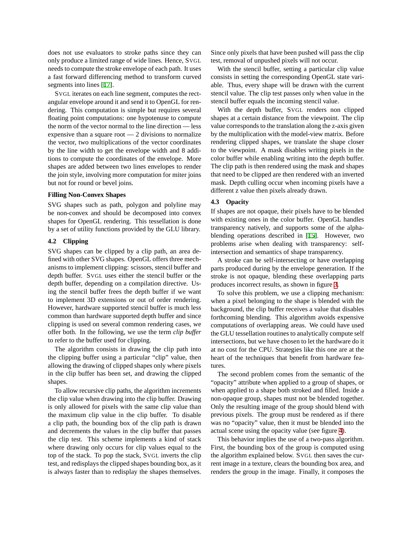does not use evaluators to stroke paths since they can only produce a limited range of wide lines. Hence, SVGL needs to compute the stroke envelope of each path. It uses a fast forward differencing method to transform curved segments into lines [[17\]](#page-11-8).

SVGL iterates on each line segment, computes the rectangular envelope around it and send it to OpenGL for rendering. This computation is simple but requires several floating point computations: one hypotenuse to compute the norm of the vector normal to the line direction — less expensive than a square root  $-2$  divisions to normalize the vector, two multiplications of the vector coordinates by the line width to get the envelope width and 8 additions to compute the coordinates of the envelope. More shapes are added between two lines envelopes to render the join style, involving more computation for miter joins but not for round or bevel joins.

#### **Filling Non-Convex Shapes**

SVG shapes such as path, polygon and polyline may be non-convex and should be decomposed into convex shapes for OpenGL rendering. This tessellation is done by a set of utility functions provided by the GLU library.

# **4.2 Clipping**

SVG shapes can be clipped by a clip path, an area defined with other SVG shapes. OpenGL offers three mechanisms to implement clipping: scissors, stencil buffer and depth buffer. SVGL uses either the stencil buffer or the depth buffer, depending on a compilation directive. Using the stencil buffer frees the depth buffer if we want to implement 3D extensions or out of order rendering. However, hardware supported stencil buffer is much less common than hardware supported depth buffer and since clipping is used on several common rendering cases, we offer both. In the following, we use the term *clip buffer* to refer to the buffer used for clipping.

The algorithm consists in drawing the clip path into the clipping buffer using a particular "clip" value, then allowing the drawing of clipped shapes only where pixels in the clip buffer has been set, and drawing the clipped shapes.

To allow recursive clip paths, the algorithm increments the clip value when drawing into the clip buffer. Drawing is only allowed for pixels with the same clip value than the maximum clip value in the clip buffer. To disable a clip path, the bounding box of the clip path is drawn and decrements the values in the clip buffer that passes the clip test. This scheme implements a kind of stack where drawing only occurs for clip values equal to the top of the stack. To pop the stack, SVGL inverts the clip test, and redisplays the clipped shapes bounding box, as it is always faster than to redisplay the shapes themselves.

Since only pixels that have been pushed will pass the clip test, removal of unpushed pixels will not occur.

With the stencil buffer, setting a particular clip value consists in setting the corresponding OpenGL state variable. Thus, every shape will be drawn with the current stencil value. The clip test passes only when value in the stencil buffer equals the incoming stencil value.

With the depth buffer, SVGL renders non clipped shapes at a certain distance from the viewpoint. The clip value corresponds to the translation along the z-axis given by the multiplication with the model-view matrix. Before rendering clipped shapes, we translate the shape closer to the viewpoint. A mask disables writing pixels in the color buffer while enabling writing into the depth buffer. The clip path is then rendered using the mask and shapes that need to be clipped are then rendered with an inverted mask. Depth culling occur when incoming pixels have a different z value then pixels already drawn.

# **4.3 Opacity**

If shapes are not opaque, their pixels have to be blended with existing ones in the color buffer. OpenGL handles transparency natively, and supports some of the alphablending operations described in [[15\]](#page-11-9). However, two problems arise when dealing with transparency: selfintersection and semantics of shape transparency.

A stroke can be self-intersecting or have overlapping parts produced during by the envelope generation. If the stroke is not opaque, blending these overlapping parts produces incorrect results, as shown in figure [3](#page-6-0).

To solve this problem, we use a clipping mechanism: when a pixel belonging to the shape is blended with the background, the clip buffer receives a value that disables forthcoming blending. This algorithm avoids expensive computations of overlapping areas. We could have used the GLU tessellation routines to analytically compute self intersections, but we have chosen to let the hardware do it at no cost for the CPU. Strategies like this one are at the heart of the techniques that benefit from hardware features.

The second problem comes from the semantic of the "opacity" attribute when applied to a group of shapes, or when applied to a shape both stroked and filled. Inside a non-opaque group, shapes must not be blended together. Only the resulting image of the group should blend with previous pixels. The group must be rendered as if there was no "opacity" value, then it must be blended into the actual scene using the opacity value (see figure [4](#page-6-1)).

This behavior implies the use of a two-pass algorithm. First, the bounding box of the group is computed using the algorithm explained below. SVGL then saves the current image in a texture, clears the bounding box area, and renders the group in the image. Finally, it composes the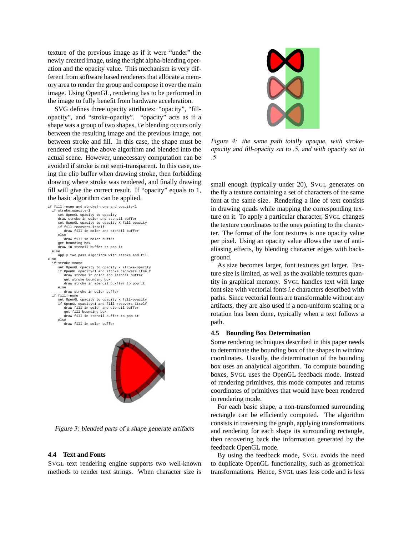texture of the previous image as if it were "under" the newly created image, using the right alpha-blending operation and the opacity value. This mechanism is very different from software based renderers that allocate a memory area to render the group and compose it over the main image. Using OpenGL, rendering has to be performed in the image to fully benefit from hardware acceleration.

SVG defines three opacity attributes: "opacity", "fillopacity", and "stroke-opacity". "opacity" acts as if a shape was a group of two shapes, *i.e* blending occurs only between the resulting image and the previous image, not between stroke and fill. In this case, the shape must be rendered using the above algorithm and blended into the actual scene. However, unnecessary computation can be avoided if stroke is not semi-transparent. In this case, using the clip buffer when drawing stroke, then forbidding drawing where stroke was rendered, and finally drawing fill will give the correct result. If "opacity" equals to 1, the basic algorithm can be applied.

if fill!=none and stroke!=none and opacity<1 if stroke\_opacity=1 set OpenGL opacity to opacity draw stroke in color and stencil buffer set OpenGL opacity to opacity X fill\_opacity if fill recovers itself draw fill in color and stencil buffer else draw fill in color buffer get bounding box draw in stencil buffer to pop it else apply two pass algorithm with stroke and fill else if stroke!=none set OpenGL opacity to opacity x stroke-opacity if OpenGL opacity<1 and stroke recovers itself draw stroke in color and stencil buffer get stroke bounding box draw stroke in stencil buxffer to pop it else draw stroke in color buffer if fill!=none set OpenGL opacity to opacity x fill-opacity if OpenGL opacity<1 and fill recovers itself draw fill in color and stencil buffer get fill bounding box draw fill in stencil buffer to pop it else draw fill in color buffer



Figure 3: blended parts of <sup>a</sup> shape generate artifacts

# <span id="page-6-0"></span>**4.4 Text and Fonts**

SVGL text rendering engine supports two well-known methods to render text strings. When character size is



Figure 4: the same path totally opaque, with strokeopacity and fill-opacity set to .5, and with opacity set to .5

<span id="page-6-1"></span>small enough (typically under 20), SVGL generates on the fly a texture containing a set of characters of the same font at the same size. Rendering a line of text consists in drawing quads while mapping the corresponding texture on it. To apply a particular character, SVGL changes the texture coordinates to the ones pointing to the character. The format of the font textures is one opacity value per pixel. Using an opacity value allows the use of antialiasing effects, by blending character edges with background.

As size becomes larger, font textures get larger. Texture size is limited, as well as the available textures quantity in graphical memory. SVGL handles text with large font size with vectorial fonts *i.e* characters described with paths. Since vectorial fonts are transformable without any artifacts, they are also used if a non-uniform scaling or a rotation has been done, typically when a text follows a path.

#### **4.5 Bounding Box Determination**

Some rendering techniques described in this paper needs to determinate the bounding box of the shapes in window coordinates. Usually, the determination of the bounding box uses an analytical algorithm. To compute bounding boxes, SVGL uses the OpenGL feedback mode. Instead of rendering primitives, this mode computes and returns coordinates of primitives that would have been rendered in rendering mode.

For each basic shape, a non-transformed surrounding rectangle can be efficiently computed. The algorithm consists in traversing the graph, applying transformations and rendering for each shape its surrounding rectangle, then recovering back the information generated by the feedback OpenGL mode.

By using the feedback mode, SVGL avoids the need to duplicate OpenGL functionality, such as geometrical transformations. Hence, SVGL uses less code and is less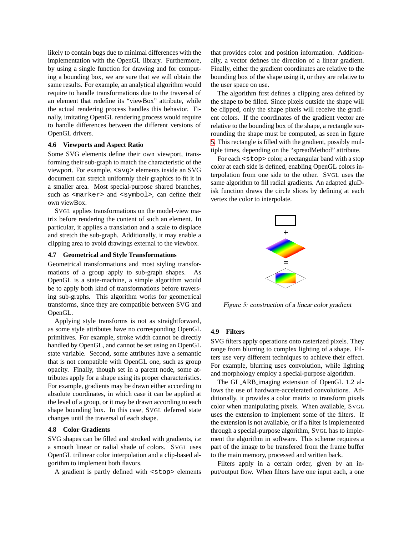likely to contain bugs due to minimal differences with the implementation with the OpenGL library. Furthermore, by using a single function for drawing and for computing a bounding box, we are sure that we will obtain the same results. For example, an analytical algorithm would require to handle transformations due to the traversal of an element that redefine its "viewBox" attribute, while the actual rendering process handles this behavior. Finally, imitating OpenGL rendering process would require to handle differences between the different versions of OpenGL drivers.

#### **4.6 Viewports and Aspect Ratio**

Some SVG elements define their own viewport, transforming their sub-graph to match the characteristic of the viewport. For example, <svg> elements inside an SVG document can stretch uniformly their graphics to fit it in a smaller area. Most special-purpose shared branches, such as <marker> and <symbol>, can define their own viewBox.

SVGL applies transformations on the model-view matrix before rendering the content of such an element. In particular, it applies a translation and a scale to displace and stretch the sub-graph. Additionally, it may enable a clipping area to avoid drawings external to the viewbox.

## **4.7 Geometrical and Style Transformations**

Geometrical transformations and most styling transformations of a group apply to sub-graph shapes. As OpenGL is a state-machine, a simple algorithm would be to apply both kind of transformations before traversing sub-graphs. This algorithm works for geometrical transforms, since they are compatible between SVG and OpenGL.

Applying style transforms is not as straightforward, as some style attributes have no corresponding OpenGL primitives. For example, stroke width cannot be directly handled by OpenGL, and cannot be set using an OpenGL state variable. Second, some attributes have a semantic that is not compatible with OpenGL one, such as group opacity. Finally, though set in a parent node, some attributes apply for a shape using its proper characteristics. For example, gradients may be drawn either according to absolute coordinates, in which case it can be applied at the level of a group, or it may be drawn according to each shape bounding box. In this case, SVGL deferred state changes until the traversal of each shape.

#### **4.8 Color Gradients**

SVG shapes can be filled and stroked with gradients, *i.e* a smooth linear or radial shade of colors. SVGL uses OpenGL trilinear color interpolation and a clip-based algorithm to implement both flavors.

A gradient is partly defined with <stop> elements

that provides color and position information. Additionally, a vector defines the direction of a linear gradient. Finally, either the gradient coordinates are relative to the bounding box of the shape using it, or they are relative to the user space on use.

The algorithm first defines a clipping area defined by the shape to be filled. Since pixels outside the shape will be clipped, only the shape pixels will receive the gradient colors. If the coordinates of the gradient vector are relative to the bounding box of the shape, a rectangle surrounding the shape must be computed, as seen in figure [5.](#page-7-0) This rectangle is filled with the gradient, possibly multiple times, depending on the "spreadMethod" attribute.

For each  $\leq$  stop  $\geq$  color, a rectangular band with a stop color at each side is defined, enabling OpenGL colors interpolation from one side to the other. SVGL uses the same algorithm to fill radial gradients. An adapted gluDisk function draws the circle slices by defining at each vertex the color to interpolate.



<span id="page-7-0"></span>Figure 5: construction of <sup>a</sup> linear color gradient

#### **4.9 Filters**

SVG filters apply operations onto rasterized pixels. They range from blurring to complex lighting of a shape. Filters use very different techniques to achieve their effect. For example, blurring uses convolution, while lighting and morphology employ a special-purpose algorithm.

The GL ARB imaging extension of OpenGL 1.2 allows the use of hardware-accelerated convolutions. Additionally, it provides a color matrix to transform pixels color when manipulating pixels. When available, SVGL uses the extension to implement some of the filters. If the extension is not available, or if a filter is implemented through a special-purpose algorithm, SVGL has to implement the algorithm in software. This scheme requires a part of the image to be transfered from the frame buffer to the main memory, processed and written back.

Filters apply in a certain order, given by an input/output flow. When filters have one input each, a one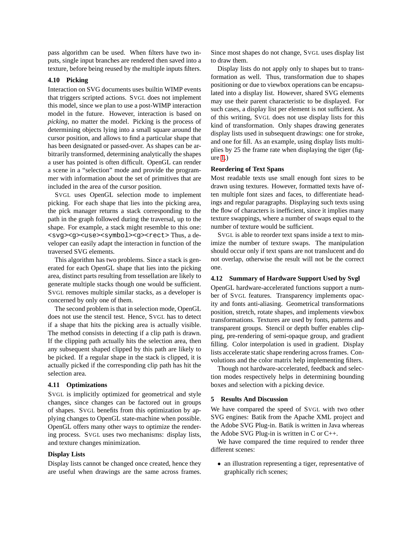pass algorithm can be used. When filters have two inputs, single input branches are rendered then saved into a texture, before being reused by the multiple inputs filters.

#### **4.10 Picking**

Interaction on SVG documents uses builtin WIMP events that triggers scripted actions. SVGL does not implement this model, since we plan to use a post-WIMP interaction model in the future. However, interaction is based on *picking*, no matter the model. Picking is the process of determining objects lying into a small square around the cursor position, and allows to find a particular shape that has been designated or passed-over. As shapes can be arbitrarily transformed, determining analytically the shapes a user has pointed is often difficult. OpenGL can render a scene in a "selection" mode and provide the programmer with information about the set of primitives that are included in the area of the cursor position.

SVGL uses OpenGL selection mode to implement picking. For each shape that lies into the picking area, the pick manager returns a stack corresponding to the path in the graph followed during the traversal, up to the shape. For example, a stack might resemble to this one: <svg><q><use><symbol><q><rect>Thus, a developer can easily adapt the interaction in function of the traversed SVG elements.

This algorithm has two problems. Since a stack is generated for each OpenGL shape that lies into the picking area, distinct parts resulting from tessellation are likely to generate multiple stacks though one would be sufficient. SVGL removes multiple similar stacks, as a developer is concerned by only one of them.

The second problem is that in selection mode, OpenGL does not use the stencil test. Hence, SVGL has to detect if a shape that hits the picking area is actually visible. The method consists in detecting if a clip path is drawn. If the clipping path actually hits the selection area, then any subsequent shaped clipped by this path are likely to be picked. If a regular shape in the stack is clipped, it is actually picked if the corresponding clip path has hit the selection area.

#### **4.11 Optimizations**

SVGL is implicitly optimized for geometrical and style changes, since changes can be factored out in groups of shapes. SVGL benefits from this optimization by applying changes to OpenGL state-machine when possible. OpenGL offers many other ways to optimize the rendering process. SVGL uses two mechanisms: display lists, and texture changes minimization.

# **Display Lists**

Display lists cannot be changed once created, hence they are useful when drawings are the same across frames.

Since most shapes do not change, SVGL uses display list to draw them.

Display lists do not apply only to shapes but to transformation as well. Thus, transformation due to shapes positioning or due to viewbox operations can be encapsulated into a display list. However, shared SVG elements may use their parent characteristic to be displayed. For such cases, a display list per element is not sufficient. As of this writing, SVGL does not use display lists for this kind of transformation. Only shapes drawing generates display lists used in subsequent drawings: one for stroke, and one for fill. As an example, using display lists multiplies by 25 the frame rate when displaying the tiger (figure [1](#page-1-1).)

#### **Reordering of Text Spans**

Most readable texts use small enough font sizes to be drawn using textures. However, formatted texts have often multiple font sizes and faces, to differentiate headings and regular paragraphs. Displaying such texts using the flow of characters is inefficient, since it implies many texture swappings, where a number of swaps equal to the number of texture would be sufficient.

SVGL is able to reorder text spans inside a text to minimize the number of texture swaps. The manipulation should occur only if text spans are not translucent and do not overlap, otherwise the result will not be the correct one.

#### **4.12 Summary of Hardware Support Used by Svgl**

OpenGL hardware-accelerated functions support a number of SVGL features. Transparency implements opacity and fonts anti-aliasing. Geometrical transformations position, stretch, rotate shapes, and implements viewbox transformations. Textures are used by fonts, patterns and transparent groups. Stencil or depth buffer enables clipping, pre-rendering of semi-opaque group, and gradient filling. Color interpolation is used in gradient. Display lists accelerate static shape rendering across frames. Convolutions and the color matrix help implementing filters.

Though not hardware-accelerated, feedback and selection modes respectively helps in determining bounding boxes and selection with a picking device.

#### **5 Results And Discussion**

We have compared the speed of SVGL with two other SVG engines: Batik from the Apache XML project and the Adobe SVG Plug-in. Batik is written in Java whereas the Adobe SVG Plug-in is written in C or C++.

We have compared the time required to render three different scenes:

• an illustration representing a tiger, representative of graphically rich scenes;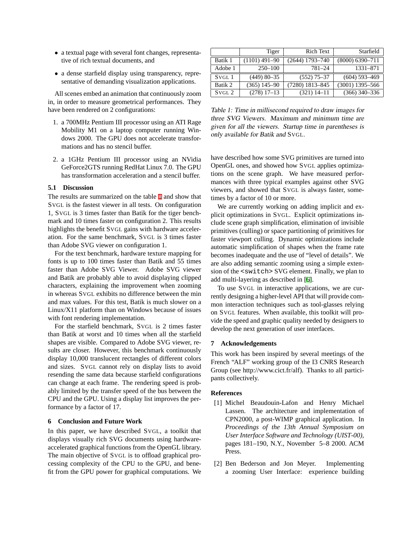- a textual page with several font changes, representative of rich textual documents, and
- a dense starfield display using transparency, representative of demanding visualization applications.

All scenes embed an animation that continuously zoom in, in order to measure geometrical performances. They have been rendered on 2 configurations:

- 1. a 700MHz Pentium III processor using an ATI Rage Mobility M1 on a laptop computer running Windows 2000. The GPU does not accelerate transformations and has no stencil buffer.
- 2. a 1GHz Pentium III processor using an NVidia GeForce2GTS running RedHat Linux 7.0. The GPU has transformation acceleration and a stencil buffer.

#### **5.1 Discussion**

The results are summarized on the table [1](#page-9-2) and show that SVGL is the fastest viewer in all tests. On configuration 1, SVGL is 3 times faster than Batik for the tiger benchmark and 10 times faster on configuration 2. This results highlights the benefit SVGL gains with hardware acceleration. For the same benchmark, SVGL is 3 times faster than Adobe SVG viewer on configuration 1.

For the text benchmark, hardware texture mapping for fonts is up to 100 times faster than Batik and 55 times faster than Adobe SVG Viewer. Adobe SVG viewer and Batik are probably able to avoid displaying clipped characters, explaining the improvement when zooming in whereas SVGL exhibits no difference between the min and max values. For this test, Batik is much slower on a Linux/X11 platform than on Windows because of issues with font rendering implementation.

For the starfield benchmark, SVGL is 2 times faster than Batik at worst and 10 times when all the starfield shapes are visible. Compared to Adobe SVG viewer, results are closer. However, this benchmark continuously display 10,000 translucent rectangles of different colors and sizes. SVGL cannot rely on display lists to avoid resending the same data because starfield configurations can change at each frame. The rendering speed is probably limited by the transfer speed of the bus between the CPU and the GPU. Using a display list improves the performance by a factor of 17.

#### **6 Conclusion and Future Work**

In this paper, we have described SVGL, a toolkit that displays visually rich SVG documents using hardwareaccelerated graphical functions from the OpenGL library. The main objective of SVGL is to offload graphical processing complexity of the CPU to the GPU, and benefit from the GPU power for graphical computations. We

|                   | Tiger           | Rich Text         | Starfield           |
|-------------------|-----------------|-------------------|---------------------|
| Batik 1           | $(1101)$ 491-90 | (2644) 1793–740   | $(8000) 6390 - 711$ |
| Adobe 1           | $250 - 100$     | 781-24            | 1331-871            |
| SVGL <sub>1</sub> | $(449)$ 80-35   | $(552)$ 75-37     | $(604)$ 593-469     |
| Batik 2           | $(365)$ 145-90  | $(7280)$ 1813-845 | $(3001)$ 1395-566   |
| SVGL <sub>2</sub> | $(278) 17-13$   | $(321)$ 14-11     | $(366)$ 340-336     |

<span id="page-9-2"></span>Table 1: Time in millisecond required to draw images for three SVG Viewers. Maximum and minimum time are given for all the viewers. Startup time in parentheses is only available for Batik and SVGL.

have described how some SVG primitives are turned into OpenGL ones, and showed how SVGL applies optimizations on the scene graph. We have measured performances with three typical examples against other SVG viewers, and showed that SVGL is always faster, sometimes by a factor of 10 or more.

We are currently working on adding implicit and explicit optimizations in SVGL. Explicit optimizations include scene graph simplification, elimination of invisible primitives (culling) or space partitioning of primitives for faster viewport culling. Dynamic optimizations include automatic simplification of shapes when the frame rate becomes inadequate and the use of "level of details". We are also adding semantic zooming using a simple extension of the <switch> SVG element. Finally, we plan to add multi-layering as described in [\[6](#page-10-7)].

To use SVGL in interactive applications, we are currently designing a higher-level API that will provide common interaction techniques such as tool-glasses relying on SVGL features. When available, this toolkit will provide the speed and graphic quality needed by designers to develop the next generation of user interfaces.

#### **7 Acknowledgements**

This work has been inspired by several meetings of the French "ALF" working group of the I3 CNRS Research Group (see http://www.cict.fr/alf). Thanks to all participants collectively.

#### **References**

- <span id="page-9-1"></span>[1] Michel Beaudouin-Lafon and Henry Michael Lassen. The architecture and implementation of CPN2000, a post-WIMP graphical application. In *Proceedings of the 13th Annual Symposium on User Interface Software and Technology (UIST-00)*, pages 181–190, N.Y., November 5–8 2000. ACM Press.
- <span id="page-9-0"></span>[2] Ben Bederson and Jon Meyer. Implementing a zooming User Interface: experience building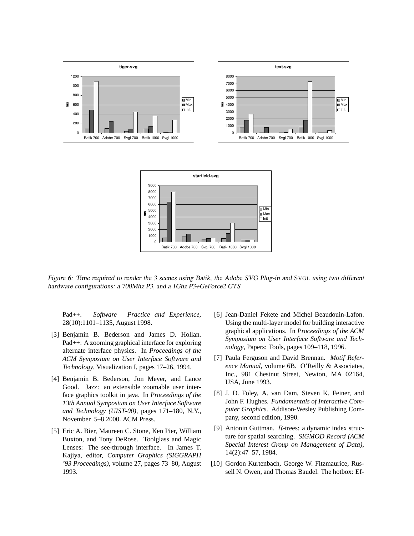



Figure 6: Time required to render the <sup>3</sup> scenes using Batik, the Adobe SVG Plug-in and SVGL using two different hardware configurations: <sup>a</sup> 700Mhz P3, and <sup>a</sup> 1Ghz P3+GeForce2 GTS

Pad++. *Software— Practice and Experience*, 28(10):1101–1135, August 1998.

- <span id="page-10-2"></span>[3] Benjamin B. Bederson and James D. Hollan. Pad++: A zooming graphical interface for exploring alternate interface physics. In *Proceedings of the ACM Symposium on User Interface Software and Technology*, Visualization I, pages 17–26, 1994.
- <span id="page-10-3"></span>[4] Benjamin B. Bederson, Jon Meyer, and Lance Good. Jazz: an extensible zoomable user interface graphics toolkit in java. In *Proceedings of the 13th Annual Symposium on User Interface Software and Technology (UIST-00)*, pages 171–180, N.Y., November 5–8 2000. ACM Press.
- <span id="page-10-5"></span>[5] Eric A. Bier, Maureen C. Stone, Ken Pier, William Buxton, and Tony DeRose. Toolglass and Magic Lenses: The see-through interface. In James T. Kajiya, editor, *Computer Graphics (SIGGRAPH '93 Proceedings)*, volume 27, pages 73–80, August 1993.
- <span id="page-10-7"></span>[6] Jean-Daniel Fekete and Michel Beaudouin-Lafon. Using the multi-layer model for building interactive graphical applications. In *Proceedings of the ACM Symposium on User Interface Software and Technology*, Papers: Tools, pages 109–118, 1996.
- <span id="page-10-0"></span>[7] Paula Ferguson and David Brennan. *Motif Reference Manual*, volume 6B. O'Reilly & Associates, Inc., 981 Chestnut Street, Newton, MA 02164, USA, June 1993.
- <span id="page-10-1"></span>[8] J. D. Foley, A. van Dam, Steven K. Feiner, and John F. Hughes. *Fundamentals of Interactive Computer Graphics*. Addison-Wesley Publishing Company, second edition, 1990.
- <span id="page-10-4"></span>[9] Antonin Guttman. R-trees: a dynamic index structure for spatial searching. *SIGMOD Record (ACM Special Interest Group on Management of Data)*, 14(2):47–57, 1984.
- <span id="page-10-6"></span>[10] Gordon Kurtenbach, George W. Fitzmaurice, Russell N. Owen, and Thomas Baudel. The hotbox: Ef-